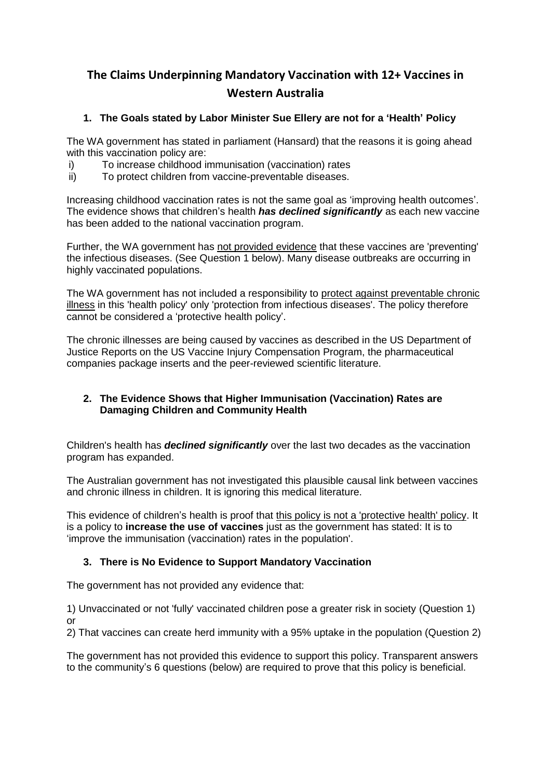# **The Claims Underpinning Mandatory Vaccination with 12+ Vaccines in Western Australia**

## **1. The Goals stated by Labor Minister Sue Ellery are not for a 'Health' Policy**

The WA government has stated in parliament (Hansard) that the reasons it is going ahead with this vaccination policy are:

- i) To increase childhood immunisation (vaccination) rates
- ii) To protect children from vaccine-preventable diseases.

Increasing childhood vaccination rates is not the same goal as 'improving health outcomes'. The evidence shows that children's health *has declined significantly* as each new vaccine has been added to the national vaccination program.

Further, the WA government has not provided evidence that these vaccines are 'preventing' the infectious diseases. (See Question 1 below). Many disease outbreaks are occurring in highly vaccinated populations.

The WA government has not included a responsibility to protect against preventable chronic illness in this 'health policy' only 'protection from infectious diseases'. The policy therefore cannot be considered a 'protective health policy'.

The chronic illnesses are being caused by vaccines as described in the [US Department of](https://vaccineimpact.com/2019/2019-doj-report-on-vaccine-court-reveals-vaccines-continue-to-injure-and-kill-people-110-million-in-damages-paid-out-first-quarter/print/)  [Justice Reports](https://vaccineimpact.com/2019/2019-doj-report-on-vaccine-court-reveals-vaccines-continue-to-injure-and-kill-people-110-million-in-damages-paid-out-first-quarter/print/) on the US Vaccine Injury Compensation Program, the pharmaceutical companies package inserts and the peer-reviewed scientific literature.

## **2. The Evidence Shows that Higher Immunisation (Vaccination) Rates are Damaging Children and Community Health**

Children's health has *declined significantly* over the last two decades as the vaccination program has expanded.

The Australian government has not investigated this plausible causal link between vaccines and chronic illness in children. It is ignoring this medical literature.

This evidence of children's health is proof that this policy is not a 'protective health' policy. It is a policy to **increase the use of vaccines** just as the government has stated: It is to 'improve the immunisation (vaccination) rates in the population'.

## **3. There is No Evidence to Support Mandatory Vaccination**

The government has not provided any evidence that:

1) Unvaccinated or not 'fully' vaccinated children pose a greater risk in society (Question 1) or

2) That vaccines can create herd immunity with a 95% uptake in the population (Question 2)

The government has not provided this evidence to support this policy. Transparent answers to the community's 6 questions (below) are required to prove that this policy is beneficial.